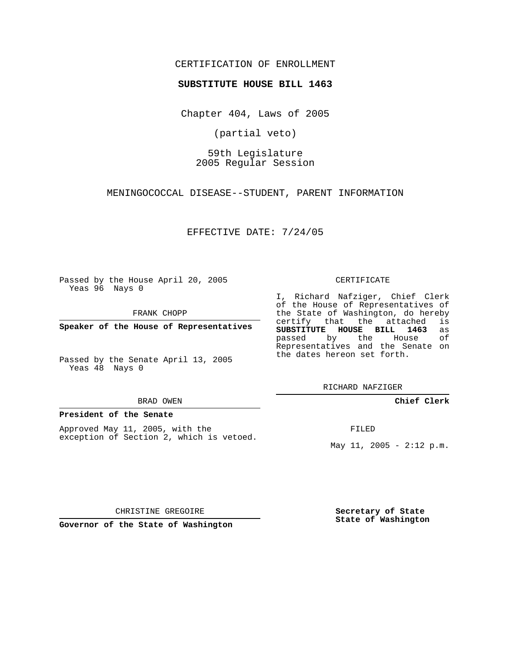# CERTIFICATION OF ENROLLMENT

### **SUBSTITUTE HOUSE BILL 1463**

Chapter 404, Laws of 2005

(partial veto)

59th Legislature 2005 Regular Session

MENINGOCOCCAL DISEASE--STUDENT, PARENT INFORMATION

EFFECTIVE DATE: 7/24/05

Passed by the House April 20, 2005 Yeas 96 Nays 0

FRANK CHOPP

**Speaker of the House of Representatives**

Passed by the Senate April 13, 2005 Yeas 48 Nays 0

#### BRAD OWEN

## **President of the Senate**

Approved May 11, 2005, with the exception of Section 2, which is vetoed.

#### CERTIFICATE

I, Richard Nafziger, Chief Clerk of the House of Representatives of the State of Washington, do hereby<br>certify that the attached is certify that the attached **SUBSTITUTE HOUSE BILL 1463** as passed by the House of Representatives and the Senate on the dates hereon set forth.

RICHARD NAFZIGER

## **Chief Clerk**

FILED

May 11, 2005 -  $2:12 \text{ p.m.}$ 

CHRISTINE GREGOIRE

**Governor of the State of Washington**

**Secretary of State State of Washington**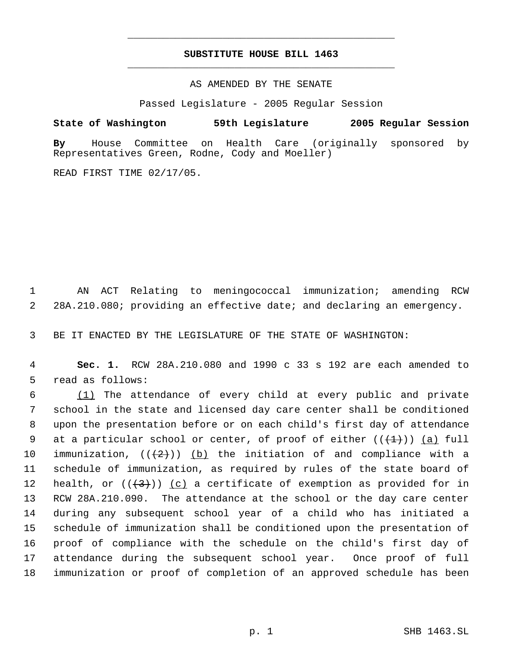# **SUBSTITUTE HOUSE BILL 1463** \_\_\_\_\_\_\_\_\_\_\_\_\_\_\_\_\_\_\_\_\_\_\_\_\_\_\_\_\_\_\_\_\_\_\_\_\_\_\_\_\_\_\_\_\_

\_\_\_\_\_\_\_\_\_\_\_\_\_\_\_\_\_\_\_\_\_\_\_\_\_\_\_\_\_\_\_\_\_\_\_\_\_\_\_\_\_\_\_\_\_

# AS AMENDED BY THE SENATE

Passed Legislature - 2005 Regular Session

**State of Washington 59th Legislature 2005 Regular Session**

**By** House Committee on Health Care (originally sponsored by Representatives Green, Rodne, Cody and Moeller)

READ FIRST TIME 02/17/05.

 1 AN ACT Relating to meningococcal immunization; amending RCW 2 28A.210.080; providing an effective date; and declaring an emergency.

3 BE IT ENACTED BY THE LEGISLATURE OF THE STATE OF WASHINGTON:

 4 **Sec. 1.** RCW 28A.210.080 and 1990 c 33 s 192 are each amended to 5 read as follows:

 (1) The attendance of every child at every public and private school in the state and licensed day care center shall be conditioned upon the presentation before or on each child's first day of attendance 9 at a particular school or center, of proof of either  $((+1+))$  (a) full 10 immunization,  $((2+))$  (b) the initiation of and compliance with a schedule of immunization, as required by rules of the state board of 12 health, or  $((+3))$   $(c)$  a certificate of exemption as provided for in RCW 28A.210.090. The attendance at the school or the day care center during any subsequent school year of a child who has initiated a schedule of immunization shall be conditioned upon the presentation of proof of compliance with the schedule on the child's first day of attendance during the subsequent school year. Once proof of full immunization or proof of completion of an approved schedule has been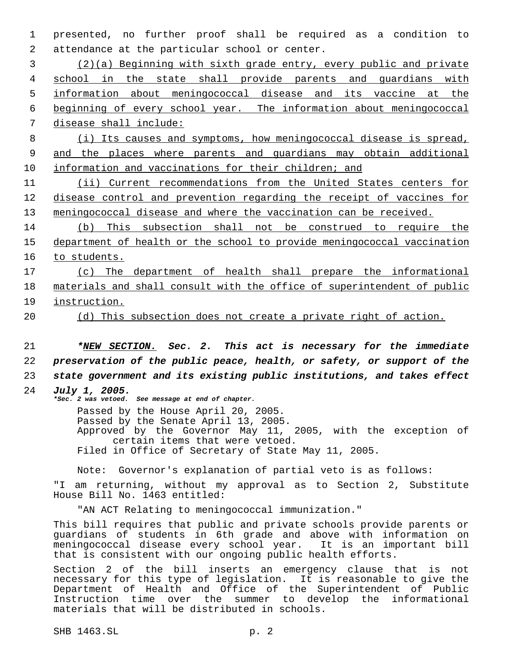1 presented, no further proof shall be required as a condition to 2 attendance at the particular school or center.

 (2)(a) Beginning with sixth grade entry, every public and private school in the state shall provide parents and guardians with information about meningococcal disease and its vaccine at the beginning of every school year. The information about meningococcal disease shall include:

 8 (i) Its causes and symptoms, how meningococcal disease is spread, 9 and the places where parents and guardians may obtain additional 10 information and vaccinations for their children; and

11 (ii) Current recommendations from the United States centers for 12 disease control and prevention regarding the receipt of vaccines for 13 meningococcal disease and where the vaccination can be received.

14 (b) This subsection shall not be construed to require the 15 department of health or the school to provide meningococcal vaccination 16 to students.

17 (c) The department of health shall prepare the informational 18 materials and shall consult with the office of superintendent of public 19 instruction.

20 (d) This subsection does not create a private right of action.

21 *\*NEW SECTION. Sec. 2. This act is necessary for the immediate* 22 *preservation of the public peace, health, or safety, or support of the* 23 *state government and its existing public institutions, and takes effect*

24 *July 1, 2005. \*Sec. 2 was vetoed. See message at end of chapter.*

> Passed by the House April 20, 2005. Passed by the Senate April 13, 2005. Approved by the Governor May 11, 2005, with the exception of certain items that were vetoed. Filed in Office of Secretary of State May 11, 2005.

Note: Governor's explanation of partial veto is as follows:

"I am returning, without my approval as to Section 2, Substitute House Bill No. 1463 entitled:

"AN ACT Relating to meningococcal immunization."

This bill requires that public and private schools provide parents or guardians of students in 6th grade and above with information on meningococcal disease every school year. It is an important bill that is consistent with our ongoing public health efforts.

Section 2 of the bill inserts an emergency clause that is not necessary for this type of legislation. It is reasonable to give the Department of Health and Office of the Superintendent of Public Instruction time over the summer to develop the informational materials that will be distributed in schools.

SHB 1463.SL p. 2